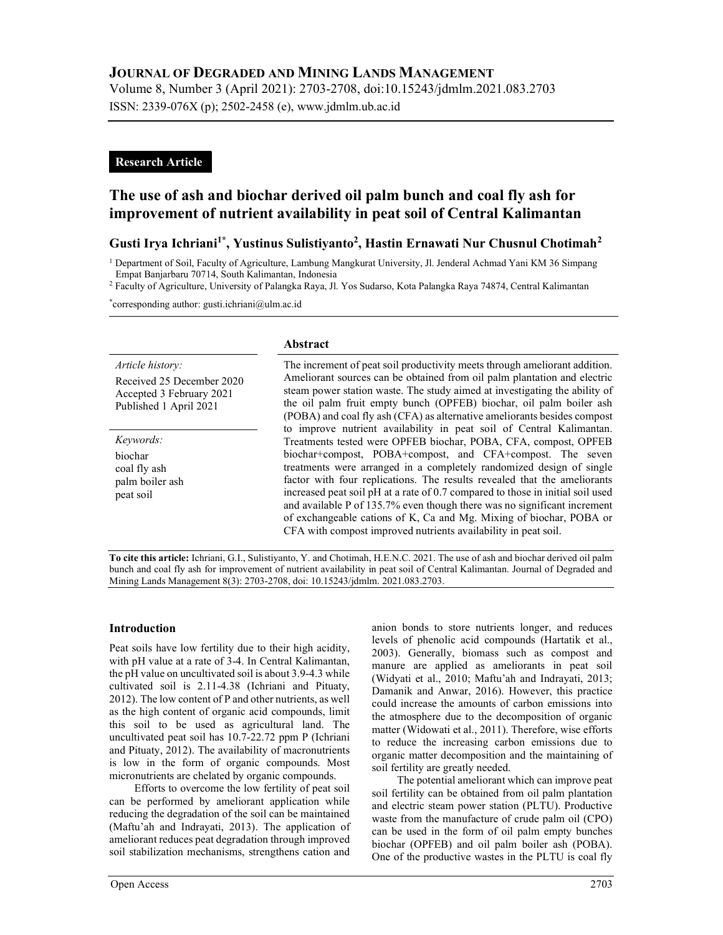# JOURNAL OF DEGRADED AND MINING LANDS MANAGEMENT

Volume 8, Number 3 (April 2021): 2703-2708, doi:10.15243/jdmlm.2021.083.2703 ISSN: 2339-076X (p); 2502-2458 (e), www.jdmlm.ub.ac.id

## Research Article

# The use of ash and biochar derived oil palm bunch and coal fly ash for improvement of nutrient availability in peat soil of Central Kalimantan

# Gusti Irya Ichriani<sup>1\*</sup>, Yustinus Sulistiyanto<sup>2</sup>, Hastin Ernawati Nur Chusnul Chotimah<sup>2</sup>

<sup>1</sup> Department of Soil, Faculty of Agriculture, Lambung Mangkurat University, Jl. Jenderal Achmad Yani KM 36 Simpang Empat Banjarbaru 70714, South Kalimantan, Indonesia

2 Faculty of Agriculture, University of Palangka Raya, Jl. Yos Sudarso, Kota Palangka Raya 74874, Central Kalimantan

\*corresponding author: gusti.ichriani@ulm.ac.id

#### Article history:

Received 25 December 2020 Accepted 3 February 2021 Published 1 April 2021

Keywords: biochar coal fly ash palm boiler ash peat soil

### Abstract

The increment of peat soil productivity meets through ameliorant addition. Ameliorant sources can be obtained from oil palm plantation and electric steam power station waste. The study aimed at investigating the ability of the oil palm fruit empty bunch (OPFEB) biochar, oil palm boiler ash (POBA) and coal fly ash (CFA) as alternative ameliorants besides compost to improve nutrient availability in peat soil of Central Kalimantan. Treatments tested were OPFEB biochar, POBA, CFA, compost, OPFEB biochar+compost, POBA+compost, and CFA+compost. The seven treatments were arranged in a completely randomized design of single factor with four replications. The results revealed that the ameliorants increased peat soil pH at a rate of 0.7 compared to those in initial soil used and available P of 135.7% even though there was no significant increment of exchangeable cations of K, Ca and Mg. Mixing of biochar, POBA or CFA with compost improved nutrients availability in peat soil.

To cite this article: Ichriani, G.I., Sulistiyanto, Y. and Chotimah, H.E.N.C. 2021. The use of ash and biochar derived oil palm bunch and coal fly ash for improvement of nutrient availability in peat soil of Central Kalimantan. Journal of Degraded and Mining Lands Management 8(3): 2703-2708, doi: 10.15243/jdmlm. 2021.083.2703.

### Introduction

Peat soils have low fertility due to their high acidity, with pH value at a rate of 3-4. In Central Kalimantan, the pH value on uncultivated soil is about 3.9-4.3 while cultivated soil is 2.11-4.38 (Ichriani and Pituaty, 2012). The low content of P and other nutrients, as well as the high content of organic acid compounds, limit this soil to be used as agricultural land. The uncultivated peat soil has 10.7-22.72 ppm P (Ichriani and Pituaty, 2012). The availability of macronutrients is low in the form of organic compounds. Most micronutrients are chelated by organic compounds.

Efforts to overcome the low fertility of peat soil can be performed by ameliorant application while reducing the degradation of the soil can be maintained (Maftu'ah and Indrayati, 2013). The application of ameliorant reduces peat degradation through improved soil stabilization mechanisms, strengthens cation and anion bonds to store nutrients longer, and reduces levels of phenolic acid compounds (Hartatik et al., 2003). Generally, biomass such as compost and manure are applied as ameliorants in peat soil (Widyati et al., 2010; Maftu'ah and Indrayati, 2013; Damanik and Anwar, 2016). However, this practice could increase the amounts of carbon emissions into the atmosphere due to the decomposition of organic matter (Widowati et al., 2011). Therefore, wise efforts to reduce the increasing carbon emissions due to organic matter decomposition and the maintaining of soil fertility are greatly needed.

The potential ameliorant which can improve peat soil fertility can be obtained from oil palm plantation and electric steam power station (PLTU). Productive waste from the manufacture of crude palm oil (CPO) can be used in the form of oil palm empty bunches biochar (OPFEB) and oil palm boiler ash (POBA). One of the productive wastes in the PLTU is coal fly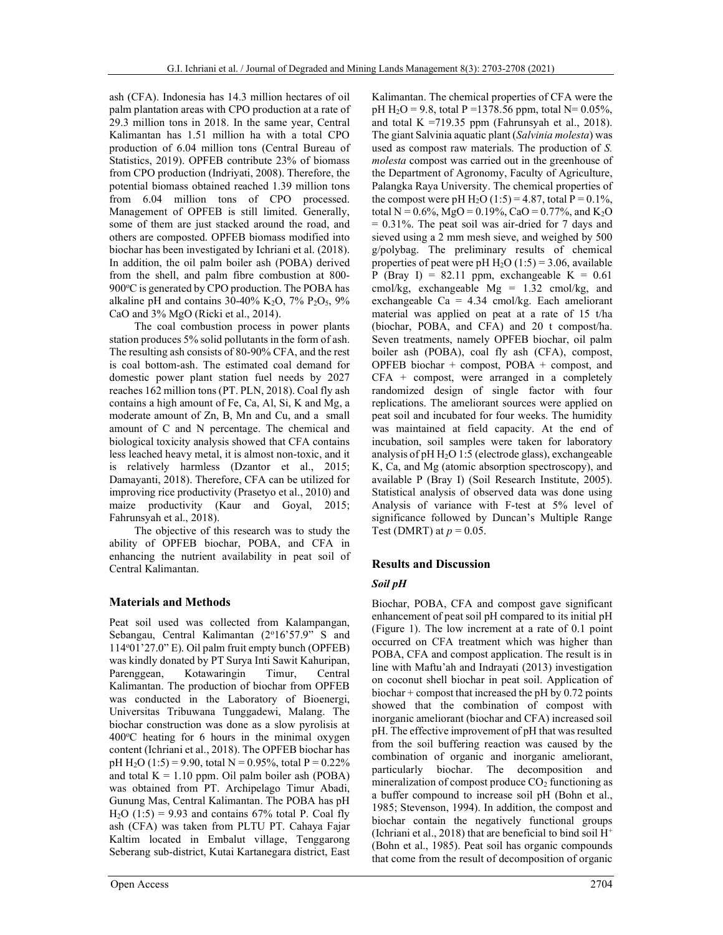ash (CFA). Indonesia has 14.3 million hectares of oil palm plantation areas with CPO production at a rate of 29.3 million tons in 2018. In the same year, Central Kalimantan has 1.51 million ha with a total CPO production of 6.04 million tons (Central Bureau of Statistics, 2019). OPFEB contribute 23% of biomass from CPO production (Indriyati, 2008). Therefore, the potential biomass obtained reached 1.39 million tons from 6.04 million tons of CPO processed. Management of OPFEB is still limited. Generally, some of them are just stacked around the road, and others are composted. OPFEB biomass modified into biochar has been investigated by Ichriani et al. (2018). In addition, the oil palm boiler ash (POBA) derived from the shell, and palm fibre combustion at 800-  $900^{\circ}$ C is generated by CPO production. The POBA has alkaline pH and contains  $30-40\%$  K<sub>2</sub>O,  $7\%$  P<sub>2</sub>O<sub>5</sub>,  $9\%$ CaO and 3% MgO (Ricki et al., 2014).

The coal combustion process in power plants station produces 5% solid pollutants in the form of ash. The resulting ash consists of 80-90% CFA, and the rest is coal bottom-ash. The estimated coal demand for domestic power plant station fuel needs by 2027 reaches 162 million tons (PT. PLN, 2018). Coal fly ash contains a high amount of Fe, Ca, Al, Si, K and Mg, a moderate amount of Zn, B, Mn and Cu, and a small amount of C and N percentage. The chemical and biological toxicity analysis showed that CFA contains less leached heavy metal, it is almost non-toxic, and it is relatively harmless (Dzantor et al., 2015; Damayanti, 2018). Therefore, CFA can be utilized for improving rice productivity (Prasetyo et al., 2010) and maize productivity (Kaur and Goyal, 2015; Fahrunsyah et al., 2018).

The objective of this research was to study the ability of OPFEB biochar, POBA, and CFA in enhancing the nutrient availability in peat soil of Central Kalimantan.

### Materials and Methods

Peat soil used was collected from Kalampangan, Sebangau, Central Kalimantan (2°16'57.9" S and  $114°01'27.0"$  E). Oil palm fruit empty bunch (OPFEB) was kindly donated by PT Surya Inti Sawit Kahuripan, Parenggean, Kotawaringin Timur, Central Kalimantan. The production of biochar from OPFEB was conducted in the Laboratory of Bioenergi, Universitas Tribuwana Tunggadewi, Malang. The biochar construction was done as a slow pyrolisis at  $400^{\circ}$ C heating for 6 hours in the minimal oxygen content (Ichriani et al., 2018). The OPFEB biochar has pH H<sub>2</sub>O (1:5) = 9.90, total N = 0.95%, total P = 0.22% and total  $K = 1.10$  ppm. Oil palm boiler ash (POBA) was obtained from PT. Archipelago Timur Abadi, Gunung Mas, Central Kalimantan. The POBA has pH  $H<sub>2</sub>O$  (1:5) = 9.93 and contains 67% total P. Coal fly ash (CFA) was taken from PLTU PT. Cahaya Fajar Kaltim located in Embalut village, Tenggarong Seberang sub-district, Kutai Kartanegara district, East Kalimantan. The chemical properties of CFA were the pH H<sub>2</sub>O = 9.8, total P = 1378.56 ppm, total N = 0.05%, and total  $K = 719.35$  ppm (Fahrunsyah et al., 2018). The giant Salvinia aquatic plant (Salvinia molesta) was used as compost raw materials. The production of S. molesta compost was carried out in the greenhouse of the Department of Agronomy, Faculty of Agriculture, Palangka Raya University. The chemical properties of the compost were pH  $H_2O (1:5) = 4.87$ , total  $P = 0.1\%$ , total N =  $0.6\%$ , MgO =  $0.19\%$ , CaO =  $0.77\%$ , and K<sub>2</sub>O  $= 0.31\%$ . The peat soil was air-dried for 7 days and sieved using a 2 mm mesh sieve, and weighed by 500 g/polybag. The preliminary results of chemical properties of peat were pH  $H_2O(1:5) = 3.06$ , available P (Bray I) = 82.11 ppm, exchangeable  $K = 0.61$ cmol/kg, exchangeable  $Mg = 1.32$  cmol/kg, and exchangeable  $Ca = 4.34$  cmol/kg. Each ameliorant material was applied on peat at a rate of 15 t/ha (biochar, POBA, and CFA) and 20 t compost/ha. Seven treatments, namely OPFEB biochar, oil palm boiler ash (POBA), coal fly ash (CFA), compost, OPFEB biochar + compost, POBA + compost, and CFA + compost, were arranged in a completely randomized design of single factor with four replications. The ameliorant sources were applied on peat soil and incubated for four weeks. The humidity was maintained at field capacity. At the end of incubation, soil samples were taken for laboratory analysis of pH H2O 1:5 (electrode glass), exchangeable K, Ca, and Mg (atomic absorption spectroscopy), and available P (Bray I) (Soil Research Institute, 2005). Statistical analysis of observed data was done using Analysis of variance with F-test at 5% level of significance followed by Duncan's Multiple Range Test (DMRT) at  $p = 0.05$ .

### Results and Discussion

### Soil pH

Biochar, POBA, CFA and compost gave significant enhancement of peat soil pH compared to its initial pH (Figure 1). The low increment at a rate of 0.1 point occurred on CFA treatment which was higher than POBA, CFA and compost application. The result is in line with Maftu'ah and Indrayati (2013) investigation on coconut shell biochar in peat soil. Application of biochar + compost that increased the pH by 0.72 points showed that the combination of compost with inorganic ameliorant (biochar and CFA) increased soil pH. The effective improvement of pH that was resulted from the soil buffering reaction was caused by the combination of organic and inorganic ameliorant, particularly biochar. The decomposition and mineralization of compost produce  $CO<sub>2</sub>$  functioning as a buffer compound to increase soil pH (Bohn et al., 1985; Stevenson, 1994). In addition, the compost and biochar contain the negatively functional groups (Ichriani et al., 2018) that are beneficial to bind soil  $H^+$ (Bohn et al., 1985). Peat soil has organic compounds that come from the result of decomposition of organic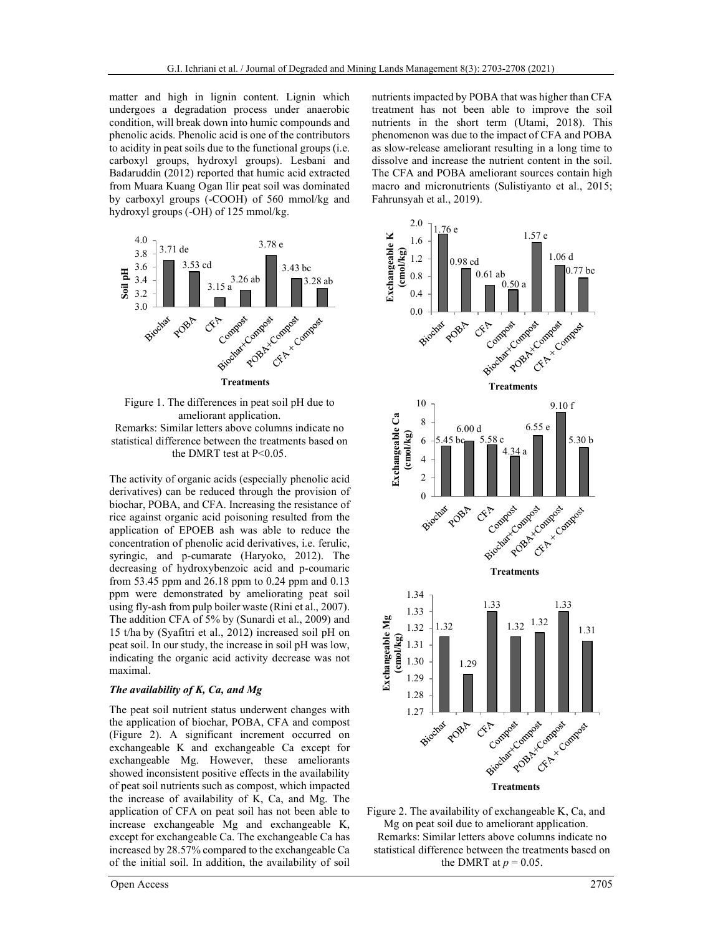matter and high in lignin content. Lignin which undergoes a degradation process under anaerobic condition, will break down into humic compounds and phenolic acids. Phenolic acid is one of the contributors to acidity in peat soils due to the functional groups (i.e. carboxyl groups, hydroxyl groups). Lesbani and Badaruddin (2012) reported that humic acid extracted from Muara Kuang Ogan Ilir peat soil was dominated by carboxyl groups (-COOH) of 560 mmol/kg and hydroxyl groups (-OH) of 125 mmol/kg.





The activity of organic acids (especially phenolic acid derivatives) can be reduced through the provision of biochar, POBA, and CFA. Increasing the resistance of rice against organic acid poisoning resulted from the application of EPOEB ash was able to reduce the concentration of phenolic acid derivatives, i.e. ferulic, syringic, and p-cumarate (Haryoko, 2012). The decreasing of hydroxybenzoic acid and p-coumaric from 53.45 ppm and 26.18 ppm to 0.24 ppm and 0.13 ppm were demonstrated by ameliorating peat soil using fly-ash from pulp boiler waste (Rini et al., 2007). The addition CFA of 5% by (Sunardi et al., 2009) and 15 t/ha by (Syafitri et al., 2012) increased soil pH on peat soil. In our study, the increase in soil pH was low, indicating the organic acid activity decrease was not maximal.

#### The availability of K, Ca, and Mg

The peat soil nutrient status underwent changes with the application of biochar, POBA, CFA and compost (Figure 2). A significant increment occurred on exchangeable K and exchangeable Ca except for exchangeable Mg. However, these ameliorants showed inconsistent positive effects in the availability of peat soil nutrients such as compost, which impacted the increase of availability of K, Ca, and Mg. The application of CFA on peat soil has not been able to increase exchangeable Mg and exchangeable K, except for exchangeable Ca. The exchangeable Ca has increased by 28.57% compared to the exchangeable Ca of the initial soil. In addition, the availability of soil nutrients impacted by POBA that was higher than CFA treatment has not been able to improve the soil nutrients in the short term (Utami, 2018). This phenomenon was due to the impact of CFA and POBA as slow-release ameliorant resulting in a long time to dissolve and increase the nutrient content in the soil. The CFA and POBA ameliorant sources contain high macro and micronutrients (Sulistiyanto et al., 2015; Fahrunsyah et al., 2019).



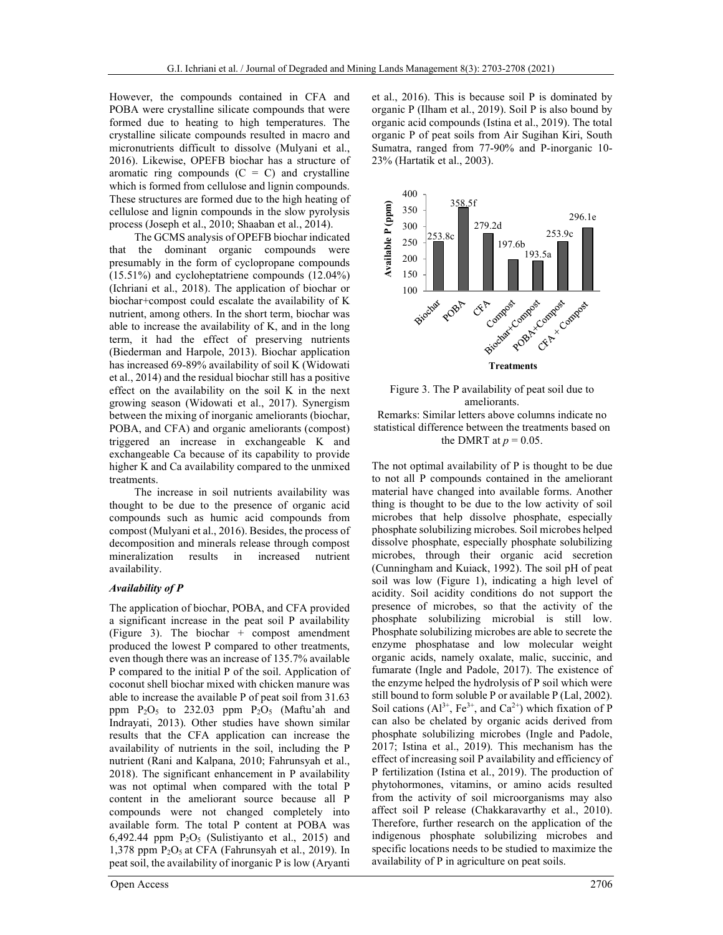However, the compounds contained in CFA and POBA were crystalline silicate compounds that were formed due to heating to high temperatures. The crystalline silicate compounds resulted in macro and micronutrients difficult to dissolve (Mulyani et al., 2016). Likewise, OPEFB biochar has a structure of aromatic ring compounds  $(C = C)$  and crystalline which is formed from cellulose and lignin compounds. These structures are formed due to the high heating of cellulose and lignin compounds in the slow pyrolysis process (Joseph et al., 2010; Shaaban et al., 2014).

The GCMS analysis of OPEFB biochar indicated that the dominant organic compounds were presumably in the form of cyclopropane compounds (15.51%) and cycloheptatriene compounds (12.04%) (Ichriani et al., 2018). The application of biochar or biochar+compost could escalate the availability of K nutrient, among others. In the short term, biochar was able to increase the availability of K, and in the long term, it had the effect of preserving nutrients (Biederman and Harpole, 2013). Biochar application has increased 69-89% availability of soil K (Widowati et al., 2014) and the residual biochar still has a positive effect on the availability on the soil K in the next growing season (Widowati et al., 2017). Synergism between the mixing of inorganic ameliorants (biochar, POBA, and CFA) and organic ameliorants (compost) triggered an increase in exchangeable K and exchangeable Ca because of its capability to provide higher K and Ca availability compared to the unmixed treatments.

The increase in soil nutrients availability was thought to be due to the presence of organic acid compounds such as humic acid compounds from compost (Mulyani et al., 2016). Besides, the process of decomposition and minerals release through compost mineralization results in increased nutrient availability.

#### Availability of P

The application of biochar, POBA, and CFA provided a significant increase in the peat soil P availability (Figure 3). The biochar  $+$  compost amendment produced the lowest P compared to other treatments, even though there was an increase of 135.7% available P compared to the initial P of the soil. Application of coconut shell biochar mixed with chicken manure was able to increase the available P of peat soil from 31.63 ppm  $P_2O_5$  to 232.03 ppm  $P_2O_5$  (Maftu'ah and Indrayati, 2013). Other studies have shown similar results that the CFA application can increase the availability of nutrients in the soil, including the P nutrient (Rani and Kalpana, 2010; Fahrunsyah et al., 2018). The significant enhancement in P availability was not optimal when compared with the total P content in the ameliorant source because all P compounds were not changed completely into available form. The total P content at POBA was 6,492.44 ppm  $P_2O_5$  (Sulistiyanto et al., 2015) and 1,378 ppm  $P_2O_5$  at CFA (Fahrunsyah et al., 2019). In peat soil, the availability of inorganic P is low (Aryanti

Open Access 2706

et al., 2016). This is because soil P is dominated by organic P (Ilham et al., 2019). Soil P is also bound by organic acid compounds (Istina et al., 2019). The total organic P of peat soils from Air Sugihan Kiri, South Sumatra, ranged from 77-90% and P-inorganic 10- 23% (Hartatik et al., 2003).



Figure 3. The P availability of peat soil due to ameliorants.

Remarks: Similar letters above columns indicate no statistical difference between the treatments based on the DMRT at  $p = 0.05$ .

The not optimal availability of P is thought to be due to not all P compounds contained in the ameliorant material have changed into available forms. Another thing is thought to be due to the low activity of soil microbes that help dissolve phosphate, especially phosphate solubilizing microbes. Soil microbes helped dissolve phosphate, especially phosphate solubilizing microbes, through their organic acid secretion (Cunningham and Kuiack, 1992). The soil pH of peat soil was low (Figure 1), indicating a high level of acidity. Soil acidity conditions do not support the presence of microbes, so that the activity of the phosphate solubilizing microbial is still low. Phosphate solubilizing microbes are able to secrete the enzyme phosphatase and low molecular weight organic acids, namely oxalate, malic, succinic, and fumarate (Ingle and Padole, 2017). The existence of the enzyme helped the hydrolysis of P soil which were still bound to form soluble P or available P (Lal, 2002). Soil cations  $(A1^{3+}, Fe^{3+}, and Ca^{2+})$  which fixation of P can also be chelated by organic acids derived from phosphate solubilizing microbes (Ingle and Padole, 2017; Istina et al., 2019). This mechanism has the effect of increasing soil P availability and efficiency of P fertilization (Istina et al., 2019). The production of phytohormones, vitamins, or amino acids resulted from the activity of soil microorganisms may also affect soil P release (Chakkaravarthy et al., 2010). Therefore, further research on the application of the indigenous phosphate solubilizing microbes and specific locations needs to be studied to maximize the availability of P in agriculture on peat soils.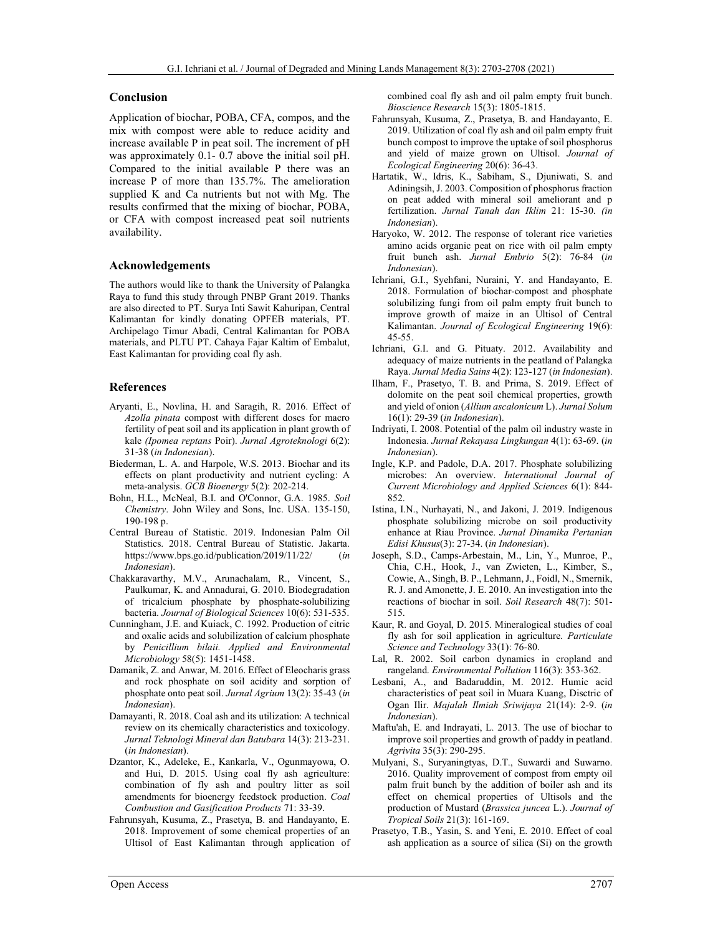#### Conclusion

Application of biochar, POBA, CFA, compos, and the mix with compost were able to reduce acidity and increase available P in peat soil. The increment of pH was approximately 0.1- 0.7 above the initial soil pH. Compared to the initial available P there was an increase P of more than 135.7%. The amelioration supplied K and Ca nutrients but not with Mg. The results confirmed that the mixing of biochar, POBA, or CFA with compost increased peat soil nutrients availability.

#### Acknowledgements

The authors would like to thank the University of Palangka Raya to fund this study through PNBP Grant 2019. Thanks are also directed to PT. Surya Inti Sawit Kahuripan, Central Kalimantan for kindly donating OPFEB materials, PT. Archipelago Timur Abadi, Central Kalimantan for POBA materials, and PLTU PT. Cahaya Fajar Kaltim of Embalut, East Kalimantan for providing coal fly ash.

#### References

- Aryanti, E., Novlina, H. and Saragih, R. 2016. Effect of Azolla pinata compost with different doses for macro fertility of peat soil and its application in plant growth of kale (Ipomea reptans Poir). Jurnal Agroteknologi 6(2): 31-38 (in Indonesian).
- Biederman, L. A. and Harpole, W.S. 2013. Biochar and its effects on plant productivity and nutrient cycling: A meta-analysis. GCB Bioenergy 5(2): 202-214.
- Bohn, H.L., McNeal, B.I. and O'Connor, G.A. 1985. Soil Chemistry. John Wiley and Sons, Inc. USA. 135-150, 190-198 p.
- Central Bureau of Statistic. 2019. Indonesian Palm Oil Statistics. 2018. Central Bureau of Statistic. Jakarta. https://www.bps.go.id/publication/2019/11/22/ (in Indonesian).
- Chakkaravarthy, M.V., Arunachalam, R., Vincent, S., Paulkumar, K. and Annadurai, G. 2010. Biodegradation of tricalcium phosphate by phosphate-solubilizing bacteria. Journal of Biological Sciences 10(6): 531-535.
- Cunningham, J.E. and Kuiack, C. 1992. Production of citric and oxalic acids and solubilization of calcium phosphate by Penicillium bilaii. Applied and Environmental Microbiology 58(5): 1451-1458.
- Damanik, Z. and Anwar, M. 2016. Effect of Eleocharis grass and rock phosphate on soil acidity and sorption of phosphate onto peat soil. Jurnal Agrium 13(2): 35-43 (in Indonesian).
- Damayanti, R. 2018. Coal ash and its utilization: A technical review on its chemically characteristics and toxicology. Jurnal Teknologi Mineral dan Batubara 14(3): 213-231. (in Indonesian).
- Dzantor, K., Adeleke, E., Kankarla, V., Ogunmayowa, O. and Hui, D. 2015. Using coal fly ash agriculture: combination of fly ash and poultry litter as soil amendments for bioenergy feedstock production. Coal Combustion and Gasification Products 71: 33-39.
- Fahrunsyah, Kusuma, Z., Prasetya, B. and Handayanto, E. 2018. Improvement of some chemical properties of an Ultisol of East Kalimantan through application of

combined coal fly ash and oil palm empty fruit bunch. Bioscience Research 15(3): 1805-1815.

- Fahrunsyah, Kusuma, Z., Prasetya, B. and Handayanto, E. 2019. Utilization of coal fly ash and oil palm empty fruit bunch compost to improve the uptake of soil phosphorus and yield of maize grown on Ultisol. Journal of Ecological Engineering 20(6): 36-43.
- Hartatik, W., Idris, K., Sabiham, S., Djuniwati, S. and Adiningsih, J. 2003. Composition of phosphorus fraction on peat added with mineral soil ameliorant and p fertilization. Jurnal Tanah dan Iklim 21: 15-30. (in Indonesian).
- Haryoko, W. 2012. The response of tolerant rice varieties amino acids organic peat on rice with oil palm empty fruit bunch ash. Jurnal Embrio 5(2): 76-84 (in Indonesian).
- Ichriani, G.I., Syehfani, Nuraini, Y. and Handayanto, E. 2018. Formulation of biochar-compost and phosphate solubilizing fungi from oil palm empty fruit bunch to improve growth of maize in an Ultisol of Central Kalimantan. Journal of Ecological Engineering 19(6): 45-55.
- Ichriani, G.I. and G. Pituaty. 2012. Availability and adequacy of maize nutrients in the peatland of Palangka Raya. Jurnal Media Sains 4(2): 123-127 (in Indonesian).
- Ilham, F., Prasetyo, T. B. and Prima, S. 2019. Effect of dolomite on the peat soil chemical properties, growth and yield of onion (Allium ascalonicum L). Jurnal Solum 16(1): 29-39 (in Indonesian).
- Indriyati, I. 2008. Potential of the palm oil industry waste in Indonesia. Jurnal Rekayasa Lingkungan 4(1): 63-69. (in Indonesian).
- Ingle, K.P. and Padole, D.A. 2017. Phosphate solubilizing microbes: An overview. International Journal of Current Microbiology and Applied Sciences 6(1): 844- 852.
- Istina, I.N., Nurhayati, N., and Jakoni, J. 2019. Indigenous phosphate solubilizing microbe on soil productivity enhance at Riau Province. Jurnal Dinamika Pertanian Edisi Khusus(3): 27-34. (in Indonesian).
- Joseph, S.D., Camps-Arbestain, M., Lin, Y., Munroe, P., Chia, C.H., Hook, J., van Zwieten, L., Kimber, S., Cowie, A., Singh, B. P., Lehmann, J., Foidl, N., Smernik, R. J. and Amonette, J. E. 2010. An investigation into the reactions of biochar in soil. Soil Research 48(7): 501- 515.
- Kaur, R. and Goyal, D. 2015. Mineralogical studies of coal fly ash for soil application in agriculture. Particulate Science and Technology 33(1): 76-80.
- Lal, R. 2002. Soil carbon dynamics in cropland and rangeland. Environmental Pollution 116(3): 353-362.
- Lesbani, A., and Badaruddin, M. 2012. Humic acid characteristics of peat soil in Muara Kuang, Disctric of Ogan Ilir. Majalah Ilmiah Sriwijaya 21(14): 2-9. (in Indonesian).
- Maftu'ah, E. and Indrayati, L. 2013. The use of biochar to improve soil properties and growth of paddy in peatland. Agrivita 35(3): 290-295.
- Mulyani, S., Suryaningtyas, D.T., Suwardi and Suwarno. 2016. Quality improvement of compost from empty oil palm fruit bunch by the addition of boiler ash and its effect on chemical properties of Ultisols and the production of Mustard (Brassica juncea L.). Journal of Tropical Soils 21(3): 161-169.
- Prasetyo, T.B., Yasin, S. and Yeni, E. 2010. Effect of coal ash application as a source of silica (Si) on the growth